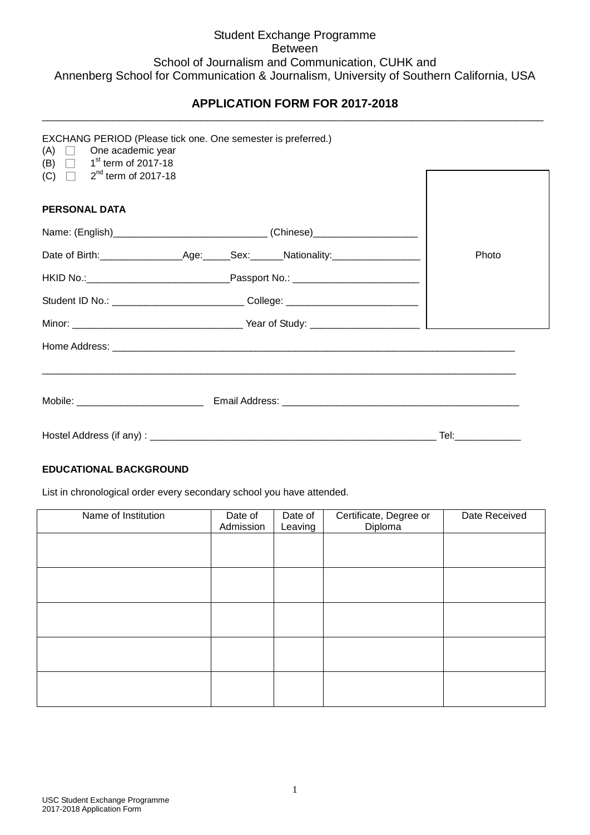# Student Exchange Programme Between School of Journalism and Communication, CUHK and Annenberg School for Communication & Journalism, University of Southern California, USA

### **APPLICATION FORM FOR 2017-2018** \_\_\_\_\_\_\_\_\_\_\_\_\_\_\_\_\_\_\_\_\_\_\_\_\_\_\_\_\_\_\_\_\_\_\_\_\_\_\_\_\_\_\_\_\_\_\_\_\_\_\_\_\_\_\_\_\_\_\_\_\_\_\_\_\_\_\_\_\_\_\_\_\_\_\_\_\_\_\_\_\_\_\_\_\_\_\_\_\_\_\_

| $(A)$ $\Box$ One academic year<br>(B) $\Box$ 1 <sup>st</sup> term of 2017-18 | EXCHANG PERIOD (Please tick one. One semester is preferred.)                     |                     |
|------------------------------------------------------------------------------|----------------------------------------------------------------------------------|---------------------|
| (C) $\Box$ 2 <sup>nd</sup> term of 2017-18                                   |                                                                                  |                     |
| <b>PERSONAL DATA</b>                                                         |                                                                                  |                     |
|                                                                              |                                                                                  |                     |
|                                                                              |                                                                                  | Photo               |
|                                                                              |                                                                                  |                     |
|                                                                              | Student ID No.: ________________________________College: _______________________ |                     |
|                                                                              |                                                                                  |                     |
|                                                                              |                                                                                  |                     |
|                                                                              |                                                                                  |                     |
|                                                                              |                                                                                  |                     |
|                                                                              |                                                                                  | Tel:_______________ |

## **EDUCATIONAL BACKGROUND**

List in chronological order every secondary school you have attended.

| Name of Institution | Date of<br>Admission | Date of<br>Leaving | Certificate, Degree or<br>Diploma | Date Received |
|---------------------|----------------------|--------------------|-----------------------------------|---------------|
|                     |                      |                    |                                   |               |
|                     |                      |                    |                                   |               |
|                     |                      |                    |                                   |               |
|                     |                      |                    |                                   |               |
|                     |                      |                    |                                   |               |
|                     |                      |                    |                                   |               |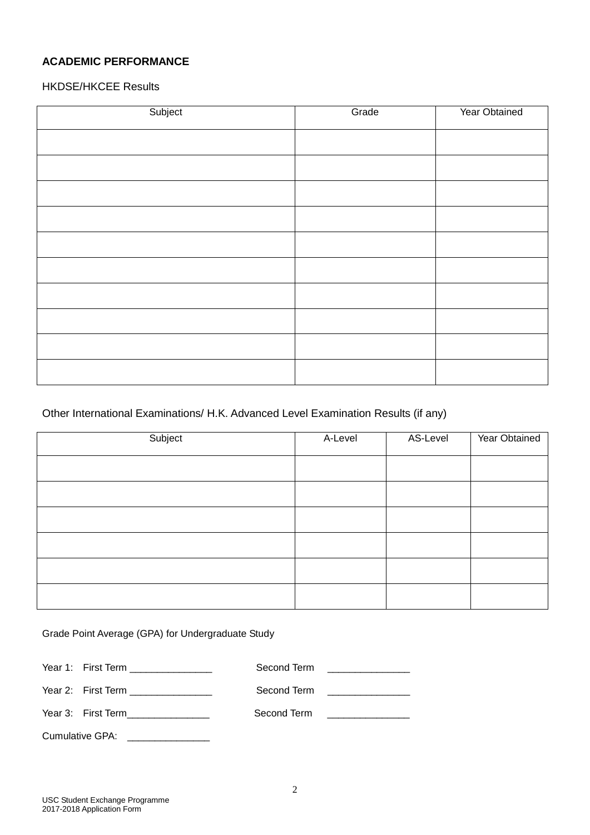# **ACADEMIC PERFORMANCE**

HKDSE/HKCEE Results

| Subject | Grade | Year Obtained |
|---------|-------|---------------|
|         |       |               |
|         |       |               |
|         |       |               |
|         |       |               |
|         |       |               |
|         |       |               |
|         |       |               |
|         |       |               |
|         |       |               |
|         |       |               |
|         |       |               |

# Other International Examinations/ H.K. Advanced Level Examination Results (if any)

| Subject | A-Level | AS-Level | Year Obtained |
|---------|---------|----------|---------------|
|         |         |          |               |
|         |         |          |               |
|         |         |          |               |
|         |         |          |               |
|         |         |          |               |
|         |         |          |               |

Grade Point Average (GPA) for Undergraduate Study

| Year 1: First Term ________________  | Second Term <u>______________</u> |
|--------------------------------------|-----------------------------------|
| Year 2: First Term _________________ | Second Term <u>______________</u> |
| Year 3: First Term________________   | Second Term <u>______________</u> |
| Cumulative GPA:                      |                                   |

USC Student Exchange Programme 2017-2018 Application Form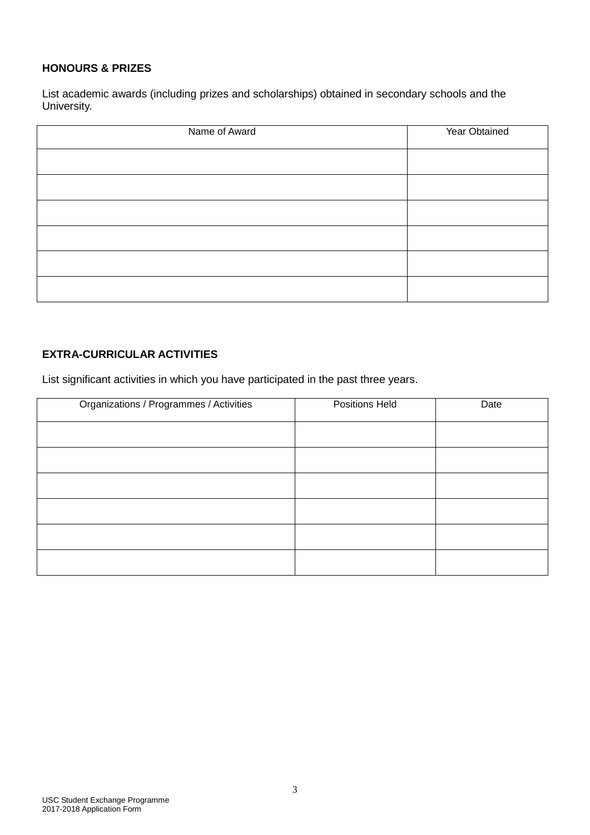## **HONOURS & PRIZES**

List academic awards (including prizes and scholarships) obtained in secondary schools and the University.

| Name of Award | Year Obtained |
|---------------|---------------|
|               |               |
|               |               |
|               |               |
|               |               |
|               |               |
|               |               |

# **EXTRA-CURRICULAR ACTIVITIES**

List significant activities in which you have participated in the past three years.

| Organizations / Programmes / Activities | Positions Held | Date |
|-----------------------------------------|----------------|------|
|                                         |                |      |
|                                         |                |      |
|                                         |                |      |
|                                         |                |      |
|                                         |                |      |
|                                         |                |      |